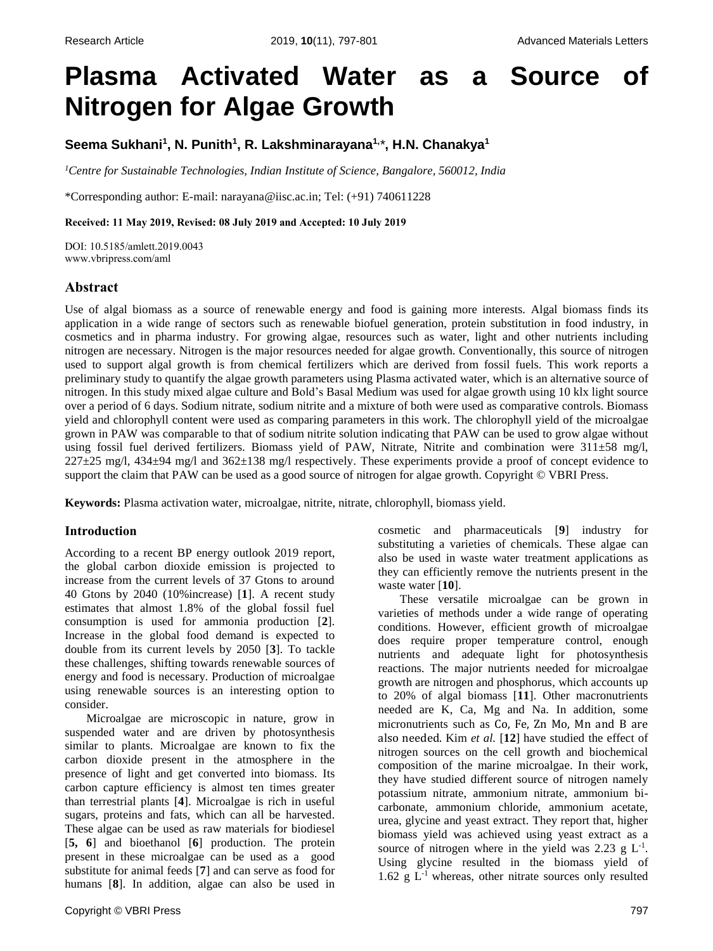# **Plasma Activated Water as a Source of Nitrogen for Algae Growth**

**Seema Sukhani<sup>1</sup> , N. Punith<sup>1</sup> , R. Lakshminarayana1,** *\****, H.N. Chanakya<sup>1</sup>**

*<sup>1</sup>Centre for Sustainable Technologies, Indian Institute of Science, Bangalore, 560012, India*

\*Corresponding author: E-mail: [narayana@iisc.ac.in;](mailto:narayana@iisc.ac.in) Tel: (+91) 740611228

**Received: 11 May 2019, Revised: 08 July 2019 and Accepted: 10 July 2019**

DOI: 10.5185/amlett.2019.0043 www.vbripress.com/aml

# **Abstract**

Use of algal biomass as a source of renewable energy and food is gaining more interests. Algal biomass finds its application in a wide range of sectors such as renewable biofuel generation, protein substitution in food industry, in cosmetics and in pharma industry. For growing algae, resources such as water, light and other nutrients including nitrogen are necessary. Nitrogen is the major resources needed for algae growth. Conventionally, this source of nitrogen used to support algal growth is from chemical fertilizers which are derived from fossil fuels. This work reports a preliminary study to quantify the algae growth parameters using Plasma activated water, which is an alternative source of nitrogen. In this study mixed algae culture and Bold's Basal Medium was used for algae growth using 10 klx light source over a period of 6 days. Sodium nitrate, sodium nitrite and a mixture of both were used as comparative controls. Biomass yield and chlorophyll content were used as comparing parameters in this work. The chlorophyll yield of the microalgae grown in PAW was comparable to that of sodium nitrite solution indicating that PAW can be used to grow algae without using fossil fuel derived fertilizers. Biomass yield of PAW, Nitrate, Nitrite and combination were 311±58 mg/l, 227±25 mg/l, 434±94 mg/l and 362±138 mg/l respectively. These experiments provide a proof of concept evidence to support the claim that PAW can be used as a good source of nitrogen for algae growth. Copyright © VBRI Press.

**Keywords:** Plasma activation water, microalgae, nitrite, nitrate, chlorophyll, biomass yield.

## **Introduction**

According to a recent BP energy outlook 2019 report, the global carbon dioxide emission is projected to increase from the current levels of 37 Gtons to around 40 Gtons by 2040 (10%increase) [**1**]. A recent study estimates that almost 1.8% of the global fossil fuel consumption is used for ammonia production [**2**]. Increase in the global food demand is expected to double from its current levels by 2050 [**3**]. To tackle these challenges, shifting towards renewable sources of energy and food is necessary. Production of microalgae using renewable sources is an interesting option to consider.

Microalgae are microscopic in nature, grow in suspended water and are driven by photosynthesis similar to plants. Microalgae are known to fix the carbon dioxide present in the atmosphere in the presence of light and get converted into biomass. Its carbon capture efficiency is almost ten times greater than terrestrial plants [**4**]. Microalgae is rich in useful sugars, proteins and fats, which can all be harvested. These algae can be used as raw materials for biodiesel [**5, 6**] and bioethanol [**6**] production. The protein present in these microalgae can be used as a good substitute for animal feeds [**7**] and can serve as food for humans [**8**]. In addition, algae can also be used in cosmetic and pharmaceuticals [**9**] industry for substituting a varieties of chemicals. These algae can also be used in waste water treatment applications as they can efficiently remove the nutrients present in the waste water [**10**].

These versatile microalgae can be grown in varieties of methods under a wide range of operating conditions. However, efficient growth of microalgae does require proper temperature control, enough nutrients and adequate light for photosynthesis reactions. The major nutrients needed for microalgae growth are nitrogen and phosphorus, which accounts up to 20% of algal biomass [**11**]. Other macronutrients needed are K, Ca, Mg and Na. In addition, some micronutrients such as Co, Fe, Zn Mo, Mn and B are also needed. Kim *et al.* [**12**] have studied the effect of nitrogen sources on the cell growth and biochemical composition of the marine microalgae. In their work, they have studied different source of nitrogen namely potassium nitrate, ammonium nitrate, ammonium bicarbonate, ammonium chloride, ammonium acetate, urea, glycine and yeast extract. They report that, higher biomass yield was achieved using yeast extract as a source of nitrogen where in the yield was 2.23 g  $L^{-1}$ . Using glycine resulted in the biomass yield of  $1.62 \text{ g L}^{-1}$  whereas, other nitrate sources only resulted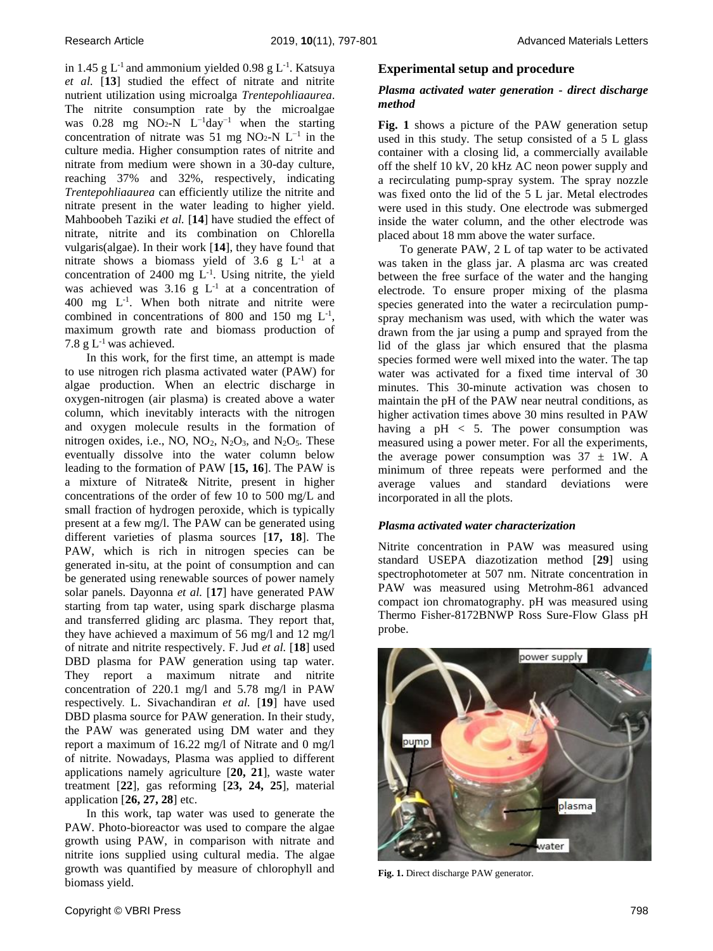in 1.45  $g$  L<sup>-1</sup> and ammonium yielded 0.98  $g$  L<sup>-1</sup>. Katsuya *et al.* [**13**] studied the effect of nitrate and nitrite nutrient utilization using microalga *Trentepohliaaurea*. The nitrite consumption rate by the microalgae was 0.28 mg NO2-N  $L^{-1}$ day<sup>-1</sup> when the starting concentration of nitrate was 51 mg NO<sub>2</sub>-N  $L^{-1}$  in the culture media. Higher consumption rates of nitrite and nitrate from medium were shown in a 30-day culture, reaching 37% and 32%, respectively, indicating *Trentepohliaaurea* can efficiently utilize the nitrite and nitrate present in the water leading to higher yield. Mahboobeh Taziki *et al.* [**14**] have studied the effect of nitrate, nitrite and its combination on Chlorella vulgaris(algae). In their work [**14**], they have found that nitrate shows a biomass yield of  $3.6 \text{ g L}^{-1}$  at a concentration of  $2400$  mg  $L^{-1}$ . Using nitrite, the yield was achieved was  $3.16 \text{ g L}^{-1}$  at a concentration of 400 mg  $L^{-1}$ . When both nitrate and nitrite were combined in concentrations of 800 and 150 mg  $L^{-1}$ , maximum growth rate and biomass production of 7.8 g  $L^{-1}$  was achieved.

In this work, for the first time, an attempt is made to use nitrogen rich plasma activated water (PAW) for algae production. When an electric discharge in oxygen-nitrogen (air plasma) is created above a water column, which inevitably interacts with the nitrogen and oxygen molecule results in the formation of nitrogen oxides, i.e., NO,  $NO<sub>2</sub>$ ,  $N<sub>2</sub>O<sub>3</sub>$ , and  $N<sub>2</sub>O<sub>5</sub>$ . These eventually dissolve into the water column below leading to the formation of PAW [**15, 16**]. The PAW is a mixture of Nitrate& Nitrite, present in higher concentrations of the order of few 10 to 500 mg/L and small fraction of hydrogen peroxide, which is typically present at a few mg/l. The PAW can be generated using different varieties of plasma sources [**17, 18**]. The PAW, which is rich in nitrogen species can be generated in-situ, at the point of consumption and can be generated using renewable sources of power namely solar panels. Dayonna *et al.* [**17**] have generated PAW starting from tap water, using spark discharge plasma and transferred gliding arc plasma. They report that, they have achieved a maximum of 56 mg/l and 12 mg/l of nitrate and nitrite respectively. F. Jud *et al.* [**18**] used DBD plasma for PAW generation using tap water. They report a maximum nitrate and nitrite concentration of 220.1 mg/l and 5.78 mg/l in PAW respectively. L. Sivachandiran *et al.* [**19**] have used DBD plasma source for PAW generation. In their study, the PAW was generated using DM water and they report a maximum of 16.22 mg/l of Nitrate and 0 mg/l of nitrite. Nowadays, Plasma was applied to different applications namely agriculture [**20, 21**], waste water treatment [**22**], gas reforming [**23, 24, 25**], material application [**26, 27, 28**] etc.

In this work, tap water was used to generate the PAW. Photo-bioreactor was used to compare the algae growth using PAW, in comparison with nitrate and nitrite ions supplied using cultural media. The algae growth was quantified by measure of chlorophyll and biomass yield.

## *Plasma activated water generation - direct discharge method*

**Fig. 1** shows a picture of the PAW generation setup used in this study. The setup consisted of a 5 L glass container with a closing lid, a commercially available off the shelf 10 kV, 20 kHz AC neon power supply and a recirculating pump-spray system. The spray nozzle was fixed onto the lid of the 5 L jar. Metal electrodes were used in this study. One electrode was submerged inside the water column, and the other electrode was placed about 18 mm above the water surface.

To generate PAW, 2 L of tap water to be activated was taken in the glass jar. A plasma arc was created between the free surface of the water and the hanging electrode. To ensure proper mixing of the plasma species generated into the water a recirculation pumpspray mechanism was used, with which the water was drawn from the jar using a pump and sprayed from the lid of the glass jar which ensured that the plasma species formed were well mixed into the water. The tap water was activated for a fixed time interval of 30 minutes. This 30-minute activation was chosen to maintain the pH of the PAW near neutral conditions, as higher activation times above 30 mins resulted in PAW having a  $pH < 5$ . The power consumption was measured using a power meter. For all the experiments, the average power consumption was  $37 \pm 1W$ . A minimum of three repeats were performed and the average values and standard deviations were incorporated in all the plots.

## *Plasma activated water characterization*

Nitrite concentration in PAW was measured using standard USEPA diazotization method [**29**] using spectrophotometer at 507 nm. Nitrate concentration in PAW was measured using Metrohm-861 advanced compact ion chromatography. pH was measured using Thermo Fisher-8172BNWP Ross Sure-Flow Glass pH probe.



**Fig. 1.** Direct discharge PAW generator.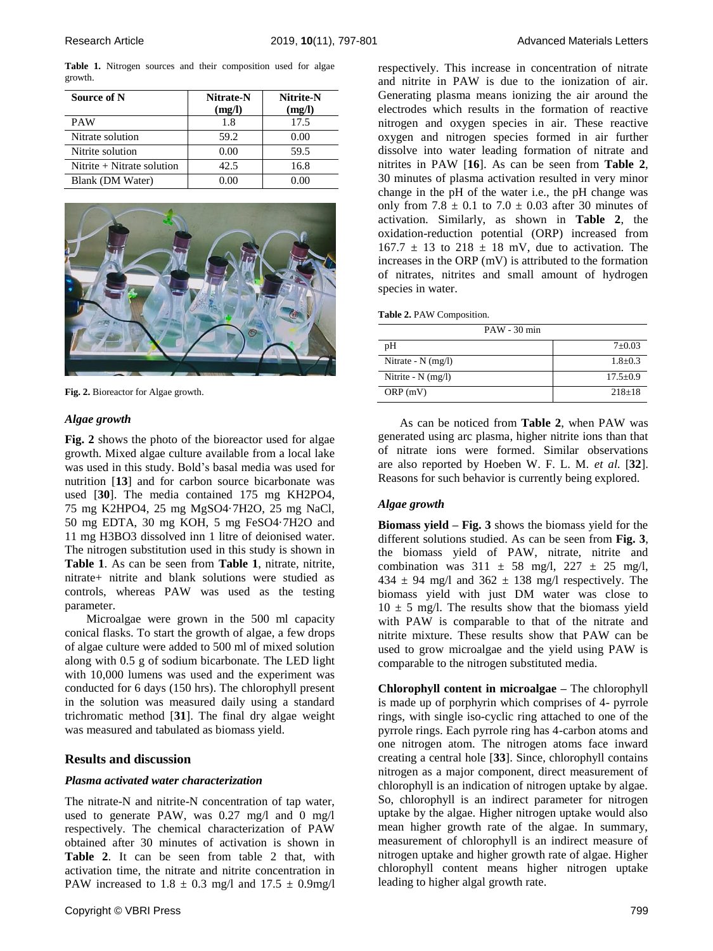**Table 1.** Nitrogen sources and their composition used for algae growth.

| Source of N                  | Nitrate-N<br>(mg/l) | Nitrite-N<br>(mg/l) |
|------------------------------|---------------------|---------------------|
| <b>PAW</b>                   | 1.8                 | 17.5                |
| Nitrate solution             | 59.2                | 0.00                |
| Nitrite solution             | 0.00                | 59.5                |
| Nitrite $+$ Nitrate solution | 42.5                | 16.8                |
| Blank (DM Water)             | 0.00                | 0 OO                |



**Fig. 2.** Bioreactor for Algae growth.

### *Algae growth*

**Fig. 2** shows the photo of the bioreactor used for algae growth. Mixed algae culture available from a local lake was used in this study. Bold's basal media was used for nutrition [**13**] and for carbon source bicarbonate was used [**30**]. The media contained 175 mg KH2PO4, 75 mg K2HPO4, 25 mg MgSO4·7H2O, 25 mg NaCl, 50 mg EDTA, 30 mg KOH, 5 mg FeSO4·7H2O and 11 mg H3BO3 dissolved inn 1 litre of deionised water. The nitrogen substitution used in this study is shown in **Table 1**. As can be seen from **Table 1**, nitrate, nitrite, nitrate+ nitrite and blank solutions were studied as controls, whereas PAW was used as the testing parameter.

Microalgae were grown in the 500 ml capacity conical flasks. To start the growth of algae, a few drops of algae culture were added to 500 ml of mixed solution along with 0.5 g of sodium bicarbonate. The LED light with 10,000 lumens was used and the experiment was conducted for 6 days (150 hrs). The chlorophyll present in the solution was measured daily using a standard trichromatic method [**31**]. The final dry algae weight was measured and tabulated as biomass yield.

## **Results and discussion**

## *Plasma activated water characterization*

The nitrate-N and nitrite-N concentration of tap water, used to generate PAW, was 0.27 mg/l and 0 mg/l respectively. The chemical characterization of PAW obtained after 30 minutes of activation is shown in **Table 2**. It can be seen from table 2 that, with activation time, the nitrate and nitrite concentration in PAW increased to  $1.8 \pm 0.3$  mg/l and  $17.5 \pm 0.9$ mg/l respectively. This increase in concentration of nitrate and nitrite in PAW is due to the ionization of air. Generating plasma means ionizing the air around the electrodes which results in the formation of reactive nitrogen and oxygen species in air. These reactive oxygen and nitrogen species formed in air further dissolve into water leading formation of nitrate and nitrites in PAW [**16**]. As can be seen from **Table 2**, 30 minutes of plasma activation resulted in very minor change in the pH of the water i.e., the pH change was only from  $7.8 \pm 0.1$  to  $7.0 \pm 0.03$  after 30 minutes of activation. Similarly, as shown in **Table 2**, the oxidation-reduction potential (ORP) increased from  $167.7 \pm 13$  to  $218 \pm 18$  mV, due to activation. The increases in the ORP (mV) is attributed to the formation of nitrates, nitrites and small amount of hydrogen species in water.

| Table 2. PAW Composition. |
|---------------------------|
|---------------------------|

| $PAW - 30$ min       |                |  |
|----------------------|----------------|--|
| pH                   | $7 \pm 0.03$   |  |
| Nitrate - $N$ (mg/l) | $1.8 \pm 0.3$  |  |
| Nitrite - $N$ (mg/l) | $17.5 \pm 0.9$ |  |
| ORP(mV)              | $218 \pm 18$   |  |

As can be noticed from **Table 2**, when PAW was generated using arc plasma, higher nitrite ions than that of nitrate ions were formed. Similar observations are also reported by Hoeben W. F. L. M. *et al.* [**32**]. Reasons for such behavior is currently being explored.

## *Algae growth*

**Biomass yield – Fig. 3** shows the biomass yield for the different solutions studied. As can be seen from **Fig. 3**, the biomass yield of PAW, nitrate, nitrite and combination was  $311 \pm 58$  mg/l,  $227 \pm 25$  mg/l,  $434 \pm 94$  mg/l and  $362 \pm 138$  mg/l respectively. The biomass yield with just DM water was close to  $10 \pm 5$  mg/l. The results show that the biomass yield with PAW is comparable to that of the nitrate and nitrite mixture. These results show that PAW can be used to grow microalgae and the yield using PAW is comparable to the nitrogen substituted media.

**Chlorophyll content in microalgae –** The chlorophyll is made up of porphyrin which comprises of 4- pyrrole rings, with single iso-cyclic ring attached to one of the pyrrole rings. Each pyrrole ring has 4-carbon atoms and one nitrogen atom. The nitrogen atoms face inward creating a central hole [**33**]. Since, chlorophyll contains nitrogen as a major component, direct measurement of chlorophyll is an indication of nitrogen uptake by algae. So, chlorophyll is an indirect parameter for nitrogen uptake by the algae. Higher nitrogen uptake would also mean higher growth rate of the algae. In summary, measurement of chlorophyll is an indirect measure of nitrogen uptake and higher growth rate of algae. Higher chlorophyll content means higher nitrogen uptake leading to higher algal growth rate.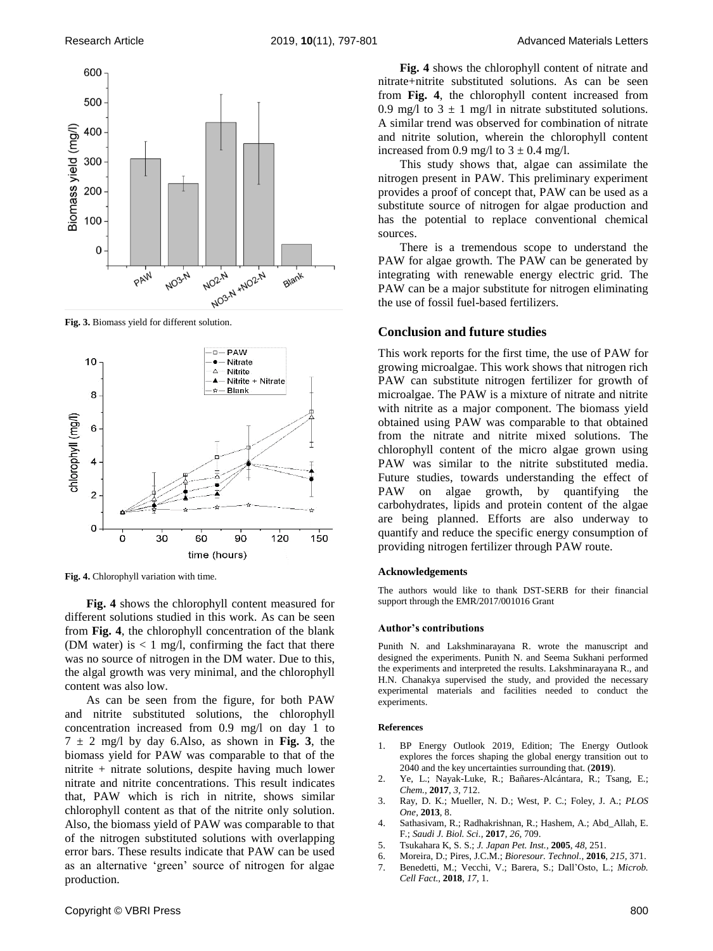

**Fig. 3.** Biomass yield for different solution.



**Fig. 4.** Chlorophyll variation with time.

**Fig. 4** shows the chlorophyll content measured for different solutions studied in this work. As can be seen from **Fig. 4**, the chlorophyll concentration of the blank (DM water) is  $< 1$  mg/l, confirming the fact that there was no source of nitrogen in the DM water. Due to this, the algal growth was very minimal, and the chlorophyll content was also low.

As can be seen from the figure, for both PAW and nitrite substituted solutions, the chlorophyll concentration increased from 0.9 mg/l on day 1 to  $7 \pm 2$  mg/l by day 6.Also, as shown in **Fig. 3**, the biomass yield for PAW was comparable to that of the nitrite + nitrate solutions, despite having much lower nitrate and nitrite concentrations. This result indicates that, PAW which is rich in nitrite, shows similar chlorophyll content as that of the nitrite only solution. Also, the biomass yield of PAW was comparable to that of the nitrogen substituted solutions with overlapping error bars. These results indicate that PAW can be used as an alternative 'green' source of nitrogen for algae production.

**Fig. 4** shows the chlorophyll content of nitrate and nitrate+nitrite substituted solutions. As can be seen from **Fig. 4**, the chlorophyll content increased from 0.9 mg/l to  $3 \pm 1$  mg/l in nitrate substituted solutions. A similar trend was observed for combination of nitrate and nitrite solution, wherein the chlorophyll content increased from 0.9 mg/l to  $3 \pm 0.4$  mg/l.

This study shows that, algae can assimilate the nitrogen present in PAW. This preliminary experiment provides a proof of concept that, PAW can be used as a substitute source of nitrogen for algae production and has the potential to replace conventional chemical sources.

There is a tremendous scope to understand the PAW for algae growth. The PAW can be generated by integrating with renewable energy electric grid. The PAW can be a major substitute for nitrogen eliminating the use of fossil fuel-based fertilizers.

# **Conclusion and future studies**

This work reports for the first time, the use of PAW for growing microalgae. This work shows that nitrogen rich PAW can substitute nitrogen fertilizer for growth of microalgae. The PAW is a mixture of nitrate and nitrite with nitrite as a major component. The biomass yield obtained using PAW was comparable to that obtained from the nitrate and nitrite mixed solutions. The chlorophyll content of the micro algae grown using PAW was similar to the nitrite substituted media. Future studies, towards understanding the effect of PAW on algae growth, by quantifying the carbohydrates, lipids and protein content of the algae are being planned. Efforts are also underway to quantify and reduce the specific energy consumption of providing nitrogen fertilizer through PAW route.

#### **Acknowledgements**

The authors would like to thank DST-SERB for their financial support through the EMR/2017/001016 Grant

#### **Author's contributions**

Punith N. and Lakshminarayana R. wrote the manuscript and designed the experiments. Punith N. and Seema Sukhani performed the experiments and interpreted the results. Lakshminarayana R., and H.N. Chanakya supervised the study, and provided the necessary experimental materials and facilities needed to conduct the experiments.

#### **References**

- 1. BP Energy Outlook 2019, Edition; The Energy Outlook explores the forces shaping the global energy transition out to 2040 and the key uncertainties surrounding that. (**2019**).
- 2. Ye, L.; Nayak-Luke, R.; Bañares-Alcántara, R.; Tsang, E.; *Chem.,* **2017**, *3,* 712.
- 3. Ray, D. K.; Mueller, N. D.; West, P. C.; Foley, J. A.; *PLOS One,* **2013**, 8.
- 4. Sathasivam, R.; Radhakrishnan, R.; Hashem, A.; Abd\_Allah, E. F.; *Saudi J. Biol. Sci.,* **2017**, *26,* 709.
- 5. Tsukahara K, S. S.; *J. Japan Pet. Inst.,* **2005**, *48,* 251.
- 6. Moreira, D.; Pires, J.C.M.; *Bioresour. Technol.,* **2016**, *215,* 371.
- 7. Benedetti, M.; Vecchi, V.; Barera, S.; Dall'Osto, L.; *Microb. Cell Fact.,* **2018**, *17,* 1.